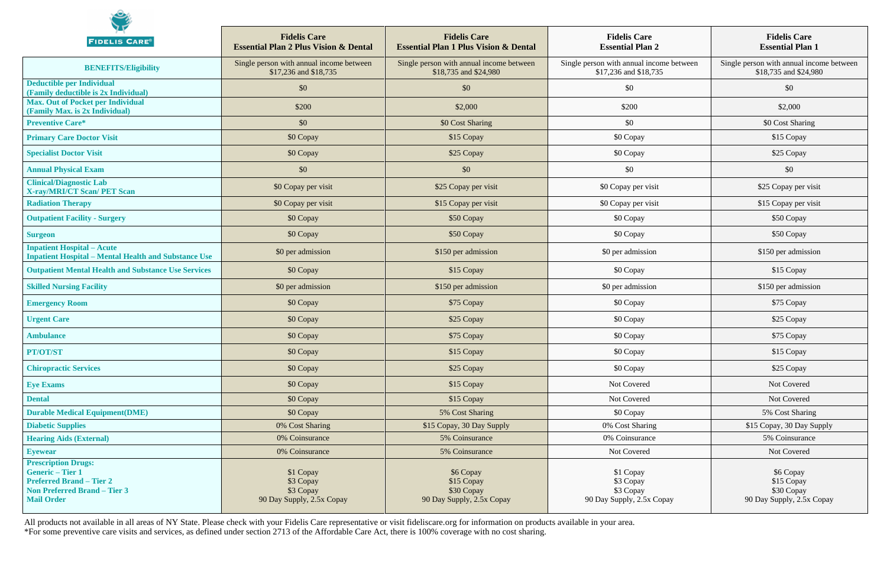| <b>FIDELIS CARE®</b>                                                                                                                               | <b>Fidelis Care</b><br><b>Essential Plan 2 Plus Vision &amp; Dental</b> | <b>Fidelis Care</b><br><b>Essential Plan 1 Plus Vision &amp; Dental</b> | <b>Fidelis Care</b><br><b>Essential Plan 2</b>                    | <b>Fidelis Care</b><br><b>Essential Plan 1</b>                     |
|----------------------------------------------------------------------------------------------------------------------------------------------------|-------------------------------------------------------------------------|-------------------------------------------------------------------------|-------------------------------------------------------------------|--------------------------------------------------------------------|
| <b>BENEFITS/Eligibility</b>                                                                                                                        | Single person with annual income between<br>\$17,236 and \$18,735       | Single person with annual income between<br>\$18,735 and \$24,980       | Single person with annual income between<br>\$17,236 and \$18,735 | Single person with annual income between<br>\$18,735 and \$24,980  |
| <b>Deductible per Individual</b><br>(Family deductible is 2x Individual)                                                                           | \$0                                                                     | \$0                                                                     | \$0                                                               | \$0                                                                |
| <b>Max. Out of Pocket per Individual</b><br>(Family Max. is 2x Individual)                                                                         | \$200                                                                   | \$2,000                                                                 | \$200                                                             | \$2,000                                                            |
| <b>Preventive Care*</b>                                                                                                                            | \$0                                                                     | \$0 Cost Sharing                                                        | \$0                                                               | \$0 Cost Sharing                                                   |
| <b>Primary Care Doctor Visit</b>                                                                                                                   | \$0 Copay                                                               | \$15 Copay                                                              | \$0 Copay                                                         | \$15 Copay                                                         |
| <b>Specialist Doctor Visit</b>                                                                                                                     | \$0 Copay                                                               | \$25 Copay                                                              | \$0 Copay                                                         | \$25 Copay                                                         |
| <b>Annual Physical Exam</b>                                                                                                                        | \$0                                                                     | \$0                                                                     | \$0                                                               | \$0                                                                |
| <b>Clinical/Diagnostic Lab</b><br><b>X-ray/MRI/CT Scan/ PET Scan</b>                                                                               | \$0 Copay per visit                                                     | \$25 Copay per visit                                                    | \$0 Copay per visit                                               | \$25 Copay per visit                                               |
| <b>Radiation Therapy</b>                                                                                                                           | \$0 Copay per visit                                                     | \$15 Copay per visit                                                    | \$0 Copay per visit                                               | \$15 Copay per visit                                               |
| <b>Outpatient Facility - Surgery</b>                                                                                                               | \$0 Copay                                                               | \$50 Copay                                                              | \$0 Copay                                                         | \$50 Copay                                                         |
| <b>Surgeon</b>                                                                                                                                     | \$0 Copay                                                               | \$50 Copay                                                              | \$0 Copay                                                         | \$50 Copay                                                         |
| <b>Inpatient Hospital – Acute</b><br><b>Inpatient Hospital - Mental Health and Substance Use</b>                                                   | \$0 per admission                                                       | \$150 per admission                                                     | \$0 per admission                                                 | \$150 per admission                                                |
| <b>Outpatient Mental Health and Substance Use Services</b>                                                                                         | \$0 Copay                                                               | \$15 Copay                                                              | \$0 Copay                                                         | \$15 Copay                                                         |
| <b>Skilled Nursing Facility</b>                                                                                                                    | \$0 per admission                                                       | \$150 per admission                                                     | \$0 per admission                                                 | \$150 per admission                                                |
| <b>Emergency Room</b>                                                                                                                              | \$0 Copay                                                               | \$75 Copay                                                              | \$0 Copay                                                         | \$75 Copay                                                         |
| <b>Urgent Care</b>                                                                                                                                 | \$0 Copay                                                               | \$25 Copay                                                              | \$0 Copay                                                         | \$25 Copay                                                         |
| <b>Ambulance</b>                                                                                                                                   | \$0 Copay                                                               | \$75 Copay                                                              | \$0 Copay                                                         | \$75 Copay                                                         |
| PT/OT/ST                                                                                                                                           | \$0 Copay                                                               | \$15 Copay                                                              | \$0 Copay                                                         | \$15 Copay                                                         |
| <b>Chiropractic Services</b>                                                                                                                       | \$0 Copay                                                               | \$25 Copay                                                              | \$0 Copay                                                         | \$25 Copay                                                         |
| <b>Eye Exams</b>                                                                                                                                   | \$0 Copay                                                               | \$15 Copay                                                              | Not Covered                                                       | Not Covered                                                        |
| <b>Dental</b>                                                                                                                                      | \$0 Copay                                                               | \$15 Copay                                                              | Not Covered                                                       | Not Covered                                                        |
| <b>Durable Medical Equipment(DME)</b>                                                                                                              | \$0 Copay                                                               | 5% Cost Sharing                                                         | \$0 Copay                                                         | 5% Cost Sharing                                                    |
| <b>Diabetic Supplies</b>                                                                                                                           | 0% Cost Sharing                                                         | \$15 Copay, 30 Day Supply                                               | 0% Cost Sharing                                                   | \$15 Copay, 30 Day Supply                                          |
| <b>Hearing Aids (External)</b>                                                                                                                     | 0% Coinsurance                                                          | 5% Coinsurance                                                          | 0% Coinsurance                                                    | 5% Coinsurance                                                     |
| <b>Eyewear</b>                                                                                                                                     | 0% Coinsurance                                                          | 5% Coinsurance                                                          | Not Covered                                                       | Not Covered                                                        |
| <b>Prescription Drugs:</b><br><b>Generic-Tier 1</b><br><b>Preferred Brand – Tier 2</b><br><b>Non Preferred Brand - Tier 3</b><br><b>Mail Order</b> | \$1 Copay<br>\$3 Copay<br>\$3 Copay<br>90 Day Supply, 2.5x Copay        | \$6 Copay<br>\$15 Copay<br>\$30 Copay<br>90 Day Supply, 2.5x Copay      | \$1 Copay<br>\$3 Copay<br>\$3 Copay<br>90 Day Supply, 2.5x Copay  | \$6 Copay<br>\$15 Copay<br>\$30 Copay<br>90 Day Supply, 2.5x Copay |

All products not available in all areas of NY State. Please check with your Fidelis Care representative or visit fideliscare.org for information on products available in your area. \*For some preventive care visits and services, as defined under section 2713 of the Affordable Care Act, there is 100% coverage with no cost sharing.